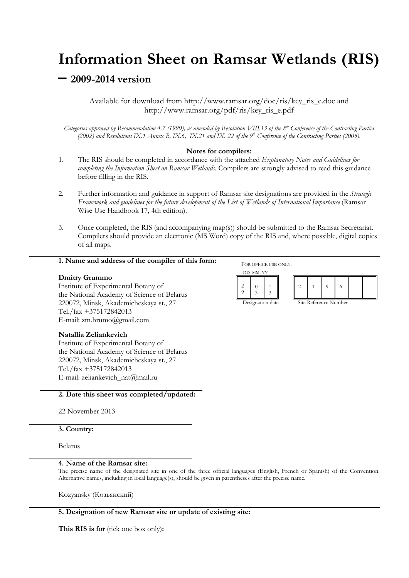# **Information Sheet on Ramsar Wetlands (RIS)**

## **– 2009-2014 version**

Available for download from http://www.ramsar.org/doc/ris/key\_ris\_e.doc and http://www.ramsar.org/pdf/ris/key\_ris\_e.pdf

*Categories approved by Recommendation 4.7 (1990), as amended by Resolution VIII.13 of the 8th Conference of the Contracting Parties*  (2002) and Resolutions IX.1 Annex B, IX.6, IX.21 and IX. 22 of the  $9^{th}$  Conference of the Contracting Parties (2005).

## **Notes for compilers:**

- 1. The RIS should be completed in accordance with the attached *Explanatory Notes and Guidelines for completing the Information Sheet on Ramsar Wetlands*. Compilers are strongly advised to read this guidance before filling in the RIS.
- 2. Further information and guidance in support of Ramsar site designations are provided in the *Strategic Framework and guidelines for the future development of the List of Wetlands of International Importance* (Ramsar Wise Use Handbook 17, 4th edition).
- 3. Once completed, the RIS (and accompanying map(s)) should be submitted to the Ramsar Secretariat. Compilers should provide an electronic (MS Word) copy of the RIS and, where possible, digital copies of all maps.

## **1. Name and address of the compiler of this form:**

## **Dmitry Grummo**

Institute of Experimental Botany of the National Academy of Science of Belarus 220072, Minsk, Akademicheskaya st., 27 Tel./fax +375172842013 E-mail: zm.hrumo@gmail.com

#### **Natallia Zeliankevich**

Institute of Experimental Botany of the National Academy of Science of Belarus 220072, Minsk, Akademicheskaya st., 27 Tel./fax +375172842013 E-mail: zeliankevich\_nat@mail.ru

#### **2. Date this sheet was completed/updated:**

22 November 2013

## **3. Country:**

Belarus

#### **4. Name of the Ramsar site:**

The precise name of the designated site in one of the three official languages (English, French or Spanish) of the Convention. Alternative names, including in local language(s), should be given in parentheses after the precise name.

Kozyansky (Козьянский)

## **5. Designation of new Ramsar site or update of existing site:**

**This RIS is for** (tick one box only)**:** 

FOR OFFICE USE ONLY. DD MM YY  $\overline{2}$ 9  $\Omega$ 3 1 3 2 1 9 6

Designation date Site Reference Number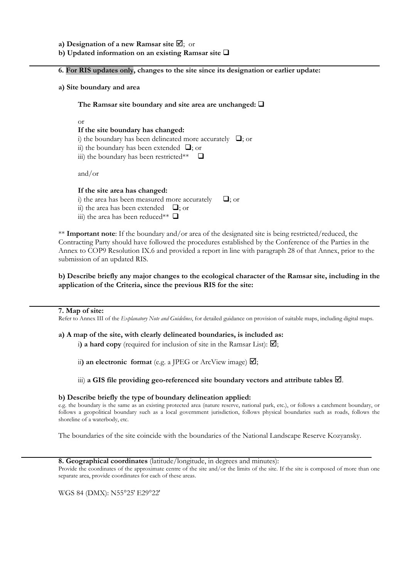**a) Designation of a new Ramsar site**  $\mathbb{Z}$ **;** or

**b) Updated information on an existing Ramsar site** 

**6. For RIS updates only, changes to the site since its designation or earlier update:** 

**a) Site boundary and area** 

**The Ramsar site boundary and site area are unchanged:** 

or

#### **If the site boundary has changed:**

i) the boundary has been delineated more accurately  $\Box$ ; or

- ii) the boundary has been extended  $\Box$ ; or
- iii) the boundary has been restricted\*\*  $\Box$

and/or

#### **If the site area has changed:**

- i) the area has been measured more accurately  $\Box$ ; or
- ii) the area has been extended  $\Box$ ; or
- iii) the area has been reduced\*\*  $\Box$

\*\* **Important note**: If the boundary and/or area of the designated site is being restricted/reduced, the Contracting Party should have followed the procedures established by the Conference of the Parties in the Annex to COP9 Resolution IX.6 and provided a report in line with paragraph 28 of that Annex, prior to the submission of an updated RIS.

**b) Describe briefly any major changes to the ecological character of the Ramsar site, including in the application of the Criteria, since the previous RIS for the site:** 

#### **7. Map of site:**

Refer to Annex III of the *Explanatory Note and Guidelines*, for detailed guidance on provision of suitable maps, including digital maps.

#### **a) A map of the site, with clearly delineated boundaries, is included as:**

i) a hard copy (required for inclusion of site in the Ramsar List):  $\boxtimes$ ;

ii) an electronic format (e.g. a JPEG or ArcView image)  $\boxtimes$ ;

iii) a GIS file providing geo-referenced site boundary vectors and attribute tables  $\boxtimes$ .

#### **b) Describe briefly the type of boundary delineation applied:**

e.g. the boundary is the same as an existing protected area (nature reserve, national park, etc.), or follows a catchment boundary, or follows a geopolitical boundary such as a local government jurisdiction, follows physical boundaries such as roads, follows the shoreline of a waterbody, etc.

The boundaries of the site coincide with the boundaries of the National Landscape Reserve Kozyansky.

#### **8. Geographical coordinates** (latitude/longitude, in degrees and minutes):

Provide the coordinates of the approximate centre of the site and/or the limits of the site. If the site is composed of more than one separate area, provide coordinates for each of these areas.

WGS 84 (DMX): N55°25' E29°22'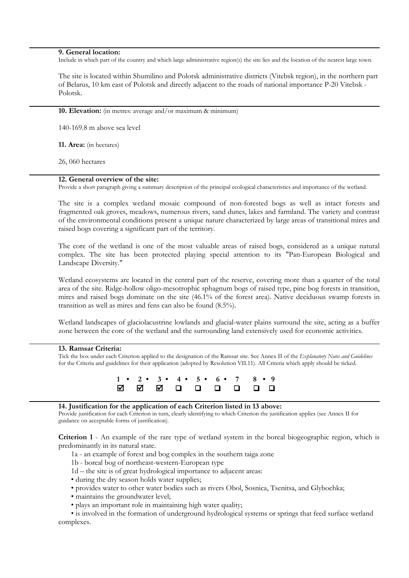#### **9. General location:**

Include in which part of the country and which large administrative region(s) the site lies and the location of the nearest large town.

The site is located within Shumilino and Polotsk administrative districts (Vitebsk region), in the northern part of Belarus, 10 km east of Polotsk and directly adjacent to the roads of national importance P-20 Vitebsk - Polotsk.

**10. Elevation:** (in metres: average and/or maximum & minimum)

140-169.8 m above sea level

**11. Area:** (in hectares)

26, 060 hectares

#### **12. General overview of the site:**

Provide a short paragraph giving a summary description of the principal ecological characteristics and importance of the wetland.

The site is a complex wetland mosaic compound of non-forested bogs as well as intact forests and fragmented oak groves, meadows, numerous rivers, sand dunes, lakes and farmland. The variety and contrast of the environmental conditions present a unique nature characterized by large areas of transitional mires and raised bogs covering a significant part of the territory.

The core of the wetland is one of the most valuable areas of raised bogs, considered as a unique natural complex. The site has been protected playing special attention to its "Pan-European Biological and Landscape Diversity."

Wetland ecosystems are located in the central part of the reserve, covering more than a quarter of the total area of the site. Ridge-hollow oligo-mesotrophic sphagnum bogs of raised type, pine bog forests in transition, mires and raised bogs dominate on the site (46.1% of the forest area). Native deciduous swamp forests in transition as well as mires and fens can also be found (8.5%).

Wetland landscapes of glaciolacustrine lowlands and glacial-water plains surround the site, acting as a buffer zone between the core of the wetland and the surrounding land extensively used for economic activities.

## **13. Ramsar Criteria:**

Tick the box under each Criterion applied to the designation of the Ramsar site. See Annex II of the *Explanatory Notes and Guidelines* for the Criteria and guidelines for their application (adopted by Resolution VII.11). All Criteria which apply should be ticked.



## **14. Justification for the application of each Criterion listed in 13 above:**

Provide justification for each Criterion in turn, clearly identifying to which Criterion the justification applies (see Annex II for guidance on acceptable forms of justification).

**Criterion 1** - An example of the rare type of wetland system in the boreal biogeographic region, which is predominantly in its natural state.

- 1a an example of forest and bog complex in the southern taiga zone
- 1b boreal bog of northeast-western-European type
- 1d the site is of great hydrological importance to adjacent areas:
- during the dry season holds water supplies;
- provides water to other water bodies such as rivers Obol, Sosnica, Tsenitsa, and Glybochka;
- maintains the groundwater level;
- plays an important role in maintaining high water quality;

• is involved in the formation of underground hydrological systems or springs that feed surface wetland complexes.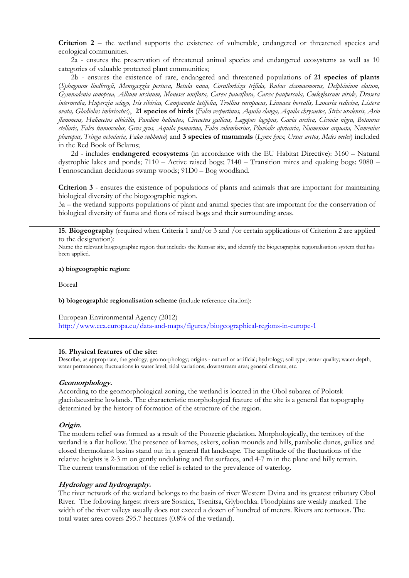**Criterion 2** – the wetland supports the existence of vulnerable, endangered or threatened species and ecological communities.

2a - ensures the preservation of threatened animal species and endangered ecosystems as well as 10 categories of valuable protected plant communities;

2b - ensures the existence of rare, endangered and threatened populations of **21 species of plants** (*Sphagnum lindbergii, Menegazzia pertusa, Betula nana, Corallorhiza trifida, Rubus chamaemorus, Delphinium elatum, Gymnadenia conopsea, Allium ursinum, Moneses uniflora, Carex pauciflora, Carex paupercula, Coeloglossum viride, Drosera intermedia, Huperzia selago, Iris sibirica, Campanula latifolia, Trollius europaeus, Linnaea borealis, Lunaria rediviva, Listera ovata, Gladiolus imbricatus*), **21 species of birds** (*Falco vespertinus, Aquila clanga, Aquila chrysaetos, Strix uralensis, Asio flammeus, Haliaeetus albicilla, Pandion haliactus, Circaetus gallicus, Lagopus lagopus, Gavia arctica, Ciconia nigra, Botaurus stellaris, Falco tinnunculus, Grus grus, Аquila pomarina, Falco columbarius, Pluvialis apricaria, Numenius arquata, Numenius phaeopus, Tringa nebularia, Falco subbuteo*) and **3 species of mammals** (*Lynx lynx, Ursus arctos, Meles meles*) included in the Red Book of Belarus;

2d - includes **endangered ecosystems** (in accordance with the EU Habitat Directive): 3160 – Natural dystrophic lakes and ponds; 7110 – Active raised bogs; 7140 – Transition mires and quaking bogs; 9080 – Fennoscandian deciduous swamp woods; 91D0 – Bog woodland.

**Criterion 3** - ensures the existence of populations of plants and animals that are important for maintaining biological diversity of the biogeographic region.

3a – the wetland supports populations of plant and animal species that are important for the conservation of biological diversity of fauna and flora of raised bogs and their surrounding areas.

**15. Biogeography** (required when Criteria 1 and/or 3 and /or certain applications of Criterion 2 are applied to the designation):

Name the relevant biogeographic region that includes the Ramsar site, and identify the biogeographic regionalisation system that has been applied.

#### **a) biogeographic region:**

Boreal

**b) biogeographic regionalisation scheme** (include reference citation):

European Environmental Agency (2012) http://www.eea.europa.eu/data-and-maps/figures/biogeographical-regions-in-europe-1

#### **16. Physical features of the site:**

Describe, as appropriate, the geology, geomorphology; origins - natural or artificial; hydrology; soil type; water quality; water depth, water permanence; fluctuations in water level; tidal variations; downstream area; general climate, etc.

#### **Geomorphology.**

According to the geomorphological zoning, the wetland is located in the Obol subarea of Polotsk glaciolacustrine lowlands. The characteristic morphological feature of the site is a general flat topography determined by the history of formation of the structure of the region.

#### **Origin.**

The modern relief was formed as a result of the Poozerie glaciation. Morphologically, the territory of the wetland is a flat hollow. The presence of kames, eskers, eolian mounds and hills, parabolic dunes, gullies and closed thermokarst basins stand out in a general flat landscape. The amplitude of the fluctuations of the relative heights is 2-3 m on gently undulating and flat surfaces, and 4-7 m in the plane and hilly terrain. The current transformation of the relief is related to the prevalence of waterlog.

#### **Hydrology and hydrography.**

The river network of the wetland belongs to the basin of river Western Dvina and its greatest tributary Obol River. The following largest rivers are Sosnica, Tsenitsa, Glybochka. Floodplains are weakly marked. The width of the river valleys usually does not exceed a dozen of hundred of meters. Rivers are tortuous. The total water area covers 295.7 hectares (0.8% of the wetland).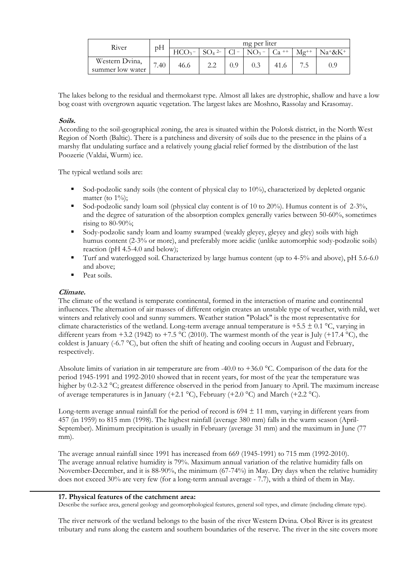| River            | pH   | mg per liter |          |        |         |        |   |        |  |  |  |  |  |  |
|------------------|------|--------------|----------|--------|---------|--------|---|--------|--|--|--|--|--|--|
|                  |      |              | $SO4$ 2- | $C1 -$ | $NO3$ – | $Ca +$ |   | Na+&K+ |  |  |  |  |  |  |
| Western Dvina,   | 7.40 | 46.6         |          | 0.9    | 0.3     |        |   | 0.9    |  |  |  |  |  |  |
| summer low water |      |              |          |        |         |        | ن |        |  |  |  |  |  |  |

The lakes belong to the residual and thermokarst type. Almost all lakes are dystrophic, shallow and have a low bog coast with overgrown aquatic vegetation. The largest lakes are Moshno, Rassolay and Krasomay.

## **Soils.**

According to the soil-geographical zoning, the area is situated within the Polotsk district, in the North West Region of North (Baltic). There is a patchiness and diversity of soils due to the presence in the plains of a marshy flat undulating surface and a relatively young glacial relief formed by the distribution of the last Poozerie (Valdai, Wurm) ice.

The typical wetland soils are:

- Sod-podzolic sandy soils (the content of physical clay to 10%), characterized by depleted organic matter (to  $1\%$ );
- Sod-podzolic sandy loam soil (physical clay content is of 10 to 20%). Humus content is of  $2-3\%$ , and the degree of saturation of the absorption complex generally varies between 50-60%, sometimes rising to  $80-90\%$ ;
- Sody-podzolic sandy loam and loamy swamped (weakly gleyey, gleyey and gley) soils with high humus content (2-3% or more), and preferably more acidic (unlike automorphic sody-podzolic soils) reaction (pH 4.5-4.0 and below);
- Turf and waterlogged soil. Characterized by large humus content (up to 4-5% and above), pH 5.6-6.0 and above;
- Peat soils.

## **Climate.**

The climate of the wetland is temperate continental, formed in the interaction of marine and continental influences. The alternation of air masses of different origin creates an unstable type of weather, with mild, wet winters and relatively cool and sunny summers. Weather station "Polack" is the most representative for climate characteristics of the wetland. Long-term average annual temperature is +5.5  $\pm$  0.1 °C, varying in different years from +3.2 (1942) to +7.5 °C (2010). The warmest month of the year is July (+17.4 °C), the coldest is January (-6.7 °C), but often the shift of heating and cooling occurs in August and February, respectively.

Absolute limits of variation in air temperature are from -40.0 to +36.0 °C. Comparison of the data for the period 1945-1991 and 1992-2010 showed that in recent years, for most of the year the temperature was higher by 0.2-3.2 °C; greatest difference observed in the period from January to April. The maximum increase of average temperatures is in January (+2.1 °C), February (+2.0 °C) and March (+2.2 °C).

Long-term average annual rainfall for the period of record is  $694 \pm 11$  mm, varying in different years from 457 (in 1959) to 815 mm (1998). The highest rainfall (average 380 mm) falls in the warm season (April-September). Minimum precipitation is usually in February (average 31 mm) and the maximum in June (77 mm).

The average annual rainfall since 1991 has increased from 669 (1945-1991) to 715 mm (1992-2010). The average annual relative humidity is 79%. Maximum annual variation of the relative humidity falls on November-December, and it is 88-90%, the minimum (67-74%) in May. Dry days when the relative humidity does not exceed 30% are very few (for a long-term annual average - 7.7), with a third of them in May.

#### **17. Physical features of the catchment area:**

Describe the surface area, general geology and geomorphological features, general soil types, and climate (including climate type).

The river network of the wetland belongs to the basin of the river Western Dvina. Obol River is its greatest tributary and runs along the eastern and southern boundaries of the reserve. The river in the site covers more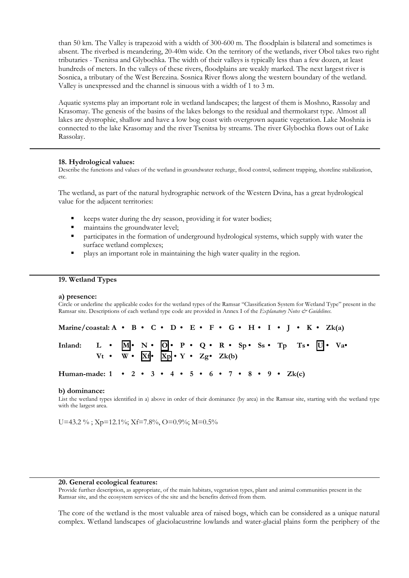than 50 km. The Valley is trapezoid with a width of 300-600 m. The floodplain is bilateral and sometimes is absent. The riverbed is meandering, 20-40m wide. On the territory of the wetlands, river Obol takes two right tributaries - Tsenitsa and Glybochka. The width of their valleys is typically less than a few dozen, at least hundreds of meters. In the valleys of these rivers, floodplains are weakly marked. The next largest river is Sosnica, a tributary of the West Berezina. Sosnica River flows along the western boundary of the wetland. Valley is unexpressed and the channel is sinuous with a width of 1 to 3 m.

Aquatic systems play an important role in wetland landscapes; the largest of them is Moshno, Rassolay and Krasomay. The genesis of the basins of the lakes belongs to the residual and thermokarst type. Almost all lakes are dystrophic, shallow and have a low bog coast with overgrown aquatic vegetation. Lake Moshnia is connected to the lake Krasomay and the river Tsenitsa by streams. The river Glybochka flows out of Lake Rassolay.

#### **18. Hydrological values:**

Describe the functions and values of the wetland in groundwater recharge, flood control, sediment trapping, shoreline stabilization, etc.

The wetland, as part of the natural hydrographic network of the Western Dvina, has a great hydrological value for the adjacent territories:

- keeps water during the dry season, providing it for water bodies;
- maintains the groundwater level;
- participates in the formation of underground hydrological systems, which supply with water the surface wetland complexes;
- plays an important role in maintaining the high water quality in the region.

#### **19. Wetland Types**

#### **a) presence:**

Circle or underline the applicable codes for the wetland types of the Ramsar "Classification System for Wetland Type" present in the Ramsar site. Descriptions of each wetland type code are provided in Annex I of the *Explanatory Notes & Guidelines*.

| Marine/coastal: A • B • C • D • E • F • G • H • I • J • K • Zk(a)                                                                                                |  |  |  |  |  |  |  |  |  |  |  |  |  |
|------------------------------------------------------------------------------------------------------------------------------------------------------------------|--|--|--|--|--|--|--|--|--|--|--|--|--|
| Inland: L • $\overline{M}$ • N • $\overline{Q}$ • P • Q • R • Sp • Ss • Tp Ts • $\overline{U}$ • Va• Vt • W • $\overline{Xd}$ • $\overline{Xp}$ • Y • Zg • Zk(b) |  |  |  |  |  |  |  |  |  |  |  |  |  |
| Human-made: $1 \cdot 2 \cdot 3 \cdot 4 \cdot 5 \cdot 6 \cdot 7 \cdot 8 \cdot 9 \cdot Zk(c)$                                                                      |  |  |  |  |  |  |  |  |  |  |  |  |  |

#### **b) dominance:**

List the wetland types identified in a) above in order of their dominance (by area) in the Ramsar site, starting with the wetland type with the largest area.

U=43.2 %; Xp=12.1%; Xf=7.8%, O=0.9%; M=0.5%

#### **20. General ecological features:**

Provide further description, as appropriate, of the main habitats, vegetation types, plant and animal communities present in the Ramsar site, and the ecosystem services of the site and the benefits derived from them.

The core of the wetland is the most valuable area of raised bogs, which can be considered as a unique natural complex. Wetland landscapes of glaciolacustrine lowlands and water-glacial plains form the periphery of the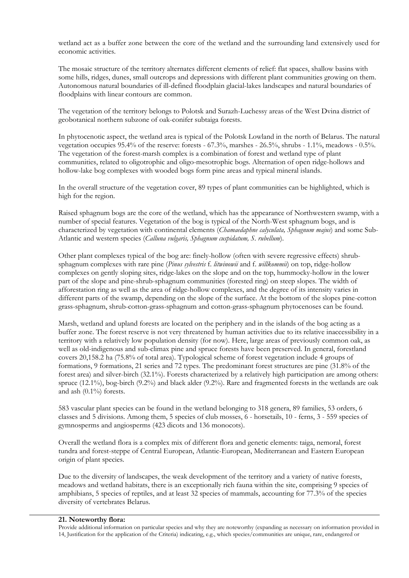wetland act as a buffer zone between the core of the wetland and the surrounding land extensively used for economic activities.

The mosaic structure of the territory alternates different elements of relief: flat spaces, shallow basins with some hills, ridges, dunes, small outcrops and depressions with different plant communities growing on them. Autonomous natural boundaries of ill-defined floodplain glacial-lakes landscapes and natural boundaries of floodplains with linear contours are common.

The vegetation of the territory belongs to Polotsk and Surazh-Luchessy areas of the West Dvina district of geobotanical northern subzone of oak-conifer subtaiga forests.

In phytocenotic aspect, the wetland area is typical of the Polotsk Lowland in the north of Belarus. The natural vegetation occupies 95.4% of the reserve: forests - 67.3%, marshes - 26.5%, shrubs - 1.1%, meadows - 0.5%. The vegetation of the forest-marsh complex is a combination of forest and wetland type of plant communities, related to oligotrophic and oligo-mesotrophic bogs. Alternation of open ridge-hollows and hollow-lake bog complexes with wooded bogs form pine areas and typical mineral islands.

In the overall structure of the vegetation cover, 89 types of plant communities can be highlighted, which is high for the region.

Raised sphagnum bogs are the core of the wetland, which has the appearance of Northwestern swamp, with a number of special features. Vegetation of the bog is typical of the North-West sphagnum bogs, and is characterized by vegetation with continental elements (*Chamaedaphne calyculata, Sphagnum majus*) and some Sub-Atlantic and western species (*Calluna vulgaris, Sphagnum cuspidatum, S. rubellum*).

Other plant complexes typical of the bog are: finely-hollow (often with severe regressive effects) shrubsphagnum complexes with rare pine (*Pinus sylvestris* f. *litwinowii* and f. *willkommii*) on top, ridge-hollow complexes on gently sloping sites, ridge-lakes on the slope and on the top, hummocky-hollow in the lower part of the slope and pine-shrub-sphagnum communities (forested ring) on steep slopes. The width of afforestation ring as well as the area of ridge-hollow complexes, and the degree of its intensity varies in different parts of the swamp, depending on the slope of the surface. At the bottom of the slopes pine-cotton grass-sphagnum, shrub-cotton-grass-sphagnum and cotton-grass-sphagnum phytocenoses can be found.

Marsh, wetland and upland forests are located on the periphery and in the islands of the bog acting as a buffer zone. The forest reserve is not very threatened by human activities due to its relative inaccessibility in a territory with a relatively low population density (for now). Here, large areas of previously common oak, as well as old-indigenous and sub-climax pine and spruce forests have been preserved. In general, forestland covers 20,158.2 ha (75.8% of total area). Typological scheme of forest vegetation include 4 groups of formations, 9 formations, 21 series and 72 types. The predominant forest structures are pine (31.8% of the forest area) and silver-birch (32.1%). Forests characterized by a relatively high participation are among others: spruce (12.1%), bog-birch (9.2%) and black alder (9.2%). Rare and fragmented forests in the wetlands are oak and ash (0.1%) forests.

583 vascular plant species can be found in the wetland belonging to 318 genera, 89 families, 53 orders, 6 classes and 5 divisions. Among them, 5 species of club mosses, 6 - horsetails, 10 - ferns, 3 - 559 species of gymnosperms and angiosperms (423 dicots and 136 monocots).

Overall the wetland flora is a complex mix of different flora and genetic elements: taiga, nemoral, forest tundra and forest-steppe of Central European, Atlantic-European, Mediterranean and Eastern European origin of plant species.

Due to the diversity of landscapes, the weak development of the territory and a variety of native forests, meadows and wetland habitats, there is an exceptionally rich fauna within the site, comprising 9 species of amphibians, 5 species of reptiles, and at least 32 species of mammals, accounting for 77.3% of the species diversity of vertebrates Belarus.

#### **21. Noteworthy flora:**

Provide additional information on particular species and why they are noteworthy (expanding as necessary on information provided in 14, Justification for the application of the Criteria) indicating, e.g., which species/communities are unique, rare, endangered or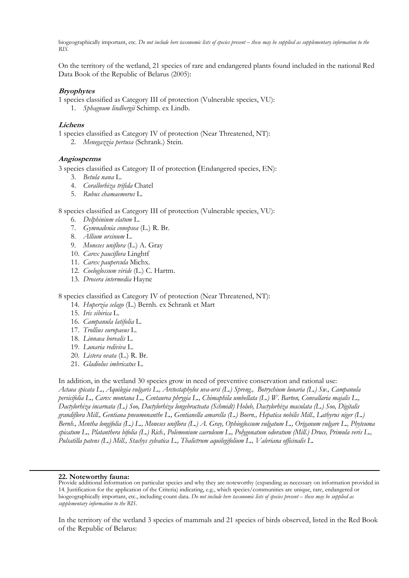biogeographically important, etc. *Do not include here taxonomic lists of species present – these may be supplied as supplementary information to the*   $R\overline{I}S$ 

On the territory of the wetland, 21 species of rare and endangered plants found included in the national Red Data Book of the Republic of Belarus (2005):

## **Bryophytes**

1 species classified as Category III of protection (Vulnerable species, VU):

1. *Sphagnum lindbergii* Schimp. ex Lindb.

## **Lichens**

1 species classified as Category IV of protection (Near Threatened, NT): 2. *Menegazzia pertusa* (Schrank.) Stein.

#### **Angiosperms**

3 species classified as Category II of protection (Endangered species, EN):

- 3. *Betula nana* L.
- 4. *Corallorhiza trifida* Chatel
- 5. *Rubus chamaemorus* L.

8 species classified as Category III of protection (Vulnerable species, VU):

- 6. *Delphinium elatum* L.
- 7. *Gymnadenia conopsea* (L.) R. Br.
- 8. *Allium ursinum* L.
- 9. *Moneses uniflora* (L.) A. Gray
- 10. *Carex pauciflora* Linghtf
- 11. *Carex paupercula* Michx.
- 12. *Coeloglossum viride* (L.) C. Hartm.
- 13. *Drosera intermedia* Hayne

8 species classified as Category IV of protection (Near Threatened, NT):

- 14. *Huperzia selago* (L.) Bernh. ex Schrank et Mart
- 15. *Iris sibirica* L.
- 16. *Campanula latifolia* L.
- 17. *Trollius europaeus* L.
- 18. *Linnaea borealis* L.
- 19. *Lunaria rediviva* L.
- 20. *Listera ovata* (L.) R. Br.
- 21. *Gladiolus imbricatus* L.

In addition, in the wetland 30 species grow in need of preventive conservation and rational use: *Actaea spicata L., Aquilegia vulgaris L., Arctostaphylos uva-ursi (L.) Spreng., Botrychium lunaria (L.) Sw., Campanula persicifolia L., Carex montana L., Centaurea phrygia L., Chimaphila umbellata (L.) W. Barton, Convallaria majalis L., Dactylorhiza incarnata (L.) Soo, Dactylorhiza longebracteata (Schmidt) Holub, Dactylorhiza maculata (L.) Soo, Digitalis grandiflora Mill., Gentiana pneumonanthe L., Gentianella amarella (L.) Boern., Hepatica nobilis Mill., Lathyrus niger (L.) Bernh., Mentha longifolia (L.) L., Moneses uniflora (L.) A. Gray, Ophioglossum vulgatum L., Origanum vulgare L., Phyteuma spicatum L., Platanthera bifolia (L.) Rich., Polemonium caeruleum L., Polygonatum odoratum (Mill.) Druce, Primula veris L., Pulsatilla patens (L.) Mill., Stachys sylvatica L., Thalictrum aquilegifolium L., Valeriana officinalis L.* 

#### **22. Noteworthy fauna:**

In the territory of the wetland 3 species of mammals and 21 species of birds observed, listed in the Red Book of the Republic of Belarus:

Provide additional information on particular species and why they are noteworthy (expanding as necessary on information provided in 14. Justification for the application of the Criteria) indicating, e.g., which species/communities are unique, rare, endangered or biogeographically important, etc., including count data. *Do not include here taxonomic lists of species present – these may be supplied as supplementary information to the RIS.*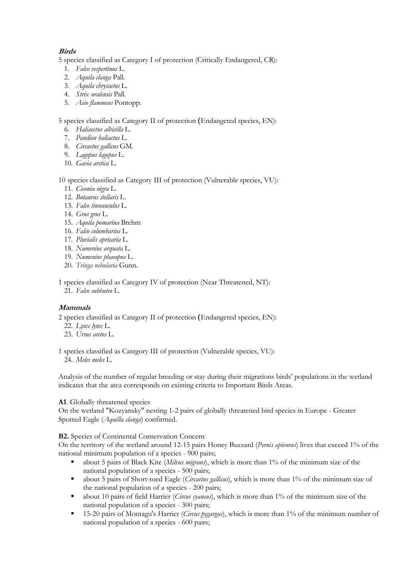## **Birds**

5 species classified as Category I of protection (Critically Endangered, CR):

- 1. *Falco vespertinus* L.
- 2. *Aquila clanga* Pall.
- 3. *Aquila chrysaetos* L.
- 4. *Strix uralensis* Pall.
- 5. *Asio flammeus* Pontopp.

5 species classified as Category II of protection (Endangered species, EN):

- 6. *Haliaeetus albicilla* L.
- 7. *Pandion haliactus* L.
- 8. *Circaetus gallicus* GM.
- 9. *Lagopus lagopus* L.
- 10. *Gavia arctica* L.

## 10 species classified as Category III of protection (Vulnerable species, VU):

- 11. *Ciconia nigra* L.
- 12. *Botaurus stellaris* L.
- 13. *Falco tinnunculus* L.
- 14. *Grus grus* L.
- 15. *Аquila pomarina* Brehm
- 16. *Falco columbarius* L.
- 17. *Pluvialis apricaria* L.
- 18. *Numenius arquata* L.
- 19. *Numenius phaeopus* L.
- 20. *Tringa nebularia* Gunn.

1 species classified as Category IV of protection (Near Threatened, NT):

21. *Falco subbuteo* L.

## **Mammals**

2 species classified as Category II of protection (Endangered species, EN):

- 22. *Lynx lynx* L.
- 23. *Ursus arctos* L.

1 species classified as Category III of protection (Vulnerable species, VU): 24. *Meles meles* L.

Analysis of the number of regular breeding or stay during their migrations birds' populations in the wetland indicates that the area corresponds on existing criteria to Important Birds Areas.

## **A1**. Globally threatened species

On the wetland "Kozyansky" nesting 1-2 pairs of globally threatened bird species in Europe - Greater Spotted Eagle (*Aquilla clanga*) confirmed.

**B2.** Species of Continental Conservation Concern

On the territory of the wetland around 12-15 pairs Honey Buzzard (*Pernis apivorus*) lives that exceed 1% of the national minimum population of a species - 900 pairs;

- about 5 pairs of Black Kite (*Milvus migrans*), which is more than 1% of the minimum size of the national population of a species - 500 pairs;
- about 5 pairs of Short-toed Eagle (*Circaetus gallicus*), which is more than 1% of the minimum size of the national population of a species - 200 pairs;
- about 10 pairs of field Harrier (*Circus cyaneus*), which is more than 1% of the minimum size of the national population of a species - 300 pairs;
- 15-20 pairs of Montagu's Harrier (*Circus pygargus*), which is more than 1% of the minimum number of national population of a species - 600 pairs;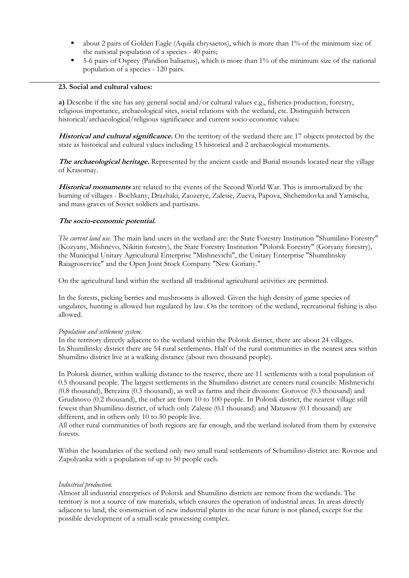- about 2 pairs of Golden Eagle (Aquila chrysaetos), which is more than 1% of the minimum size of the national population of a species - 40 pairs;
- 5-6 pairs of Osprey (Pandion haliaetus), which is more than 1% of the minimum size of the national population of a species - 120 pairs.

## **23. Social and cultural values:**

**a)** Describe if the site has any general social and/or cultural values e.g., fisheries production, forestry, religious importance, archaeological sites, social relations with the wetland, etc. Distinguish between historical/archaeological/religious significance and current socio-economic values:

**Historical and cultural significance.** On the territory of the wetland there are 17 objects protected by the state as historical and cultural values including 15 historical and 2 archaeological monuments.

**The archaeological heritage.** Represented by the ancient castle and Burial mounds located near the village of Krasomay.

**Historical monuments** are related to the events of the Second World War. This is immortalized by the burning of villages - Bochkany, Drazhaki, Zaozerye, Zalesie, Zueva, Papova, Shchemilovka and Yamischa, and mass graves of Soviet soldiers and partisans.

## **The socio-economic potential.**

*The current land use.* The main land users in the wetland are: the State Forestry Institution "Shumilino Forestry" (Kozyany, Mishnevo, Nikitin forestry), the State Forestry Institution "Polotsk Forestry" (Goryany forestry), the Municipal Unitary Agricultural Enterprise "Mishnevichi", the Unitary Enterprise "Shumilinskiy Raiagroservice" and the Open Joint Stock Company "New Goriany."

On the agricultural land within the wetland all traditional agricultural activities are permitted.

In the forests, picking berries and mushrooms is allowed. Given the high density of game species of ungulates, hunting is allowed but regulated by law. On the territory of the wetland, recreational fishing is also allowed.

#### *Population and settlement system.*

In the territory directly adjacent to the wetland within the Polotsk district, there are about 24 villages. In Shumilinsky district there are 54 rural settlements. Half of the rural communities in the nearest area within Shumilino district live at a walking distance (about two thousand people).

In Polotsk district, within walking distance to the reserve, there are 11 settlements with a total population of 0.5 thousand people. The largest settlements in the Shumilino district are centers rural councils: Mishnevichi (0.8 thousand), Berezina (0.3 thousand), as well as farms and their divisions: Gorovoe (0.3 thousand) and Grudinovo (0.2 thousand), the other are from 10 to 100 people. In Polotsk district, the nearest village still fewest than Shumilino district, of which only Zalesie (0.1 thousand) and Matusow (0.1 thousand) are different, and in others only 10 to 50 people live.

All other rural communities of both regions are far enough, and the wetland isolated from them by extensive forests.

Within the boundaries of the wetland only two small rural settlements of Schumilino district are: Rovnoe and Zapolyanka with a population of up to 50 people each.

#### *Industrial production.*

Almost all industrial enterprises of Polotsk and Shumilino districts are remote from the wetlands. The territory is not a source of raw materials, which ensures the operation of industrial areas. In areas directly adjacent to land, the construction of new industrial plants in the near future is not planed, except for the possible development of a small-scale processing complex.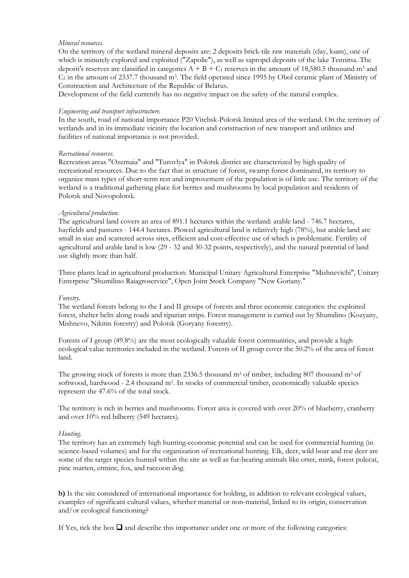## *Mineral resources.*

On the territory of the wetland mineral deposits are: 2 deposits brick-tile raw materials (clay, loam), one of which is minutely explored and exploited ("Zapolie"), as well as sapropel deposits of the lake Tennitsa. The deposit's reserves are classified in categories  $A + B + C_1$  reserves in the amount of 18,580.5 thousand m<sup>3</sup> and  $C_2$  in the amount of 2337.7 thousand m<sup>3</sup>. The field operated since 1995 by Obol ceramic plant of Ministry of Construction and Architecture of the Republic of Belarus.

Development of the field currently has no negative impact on the safety of the natural complex.

#### *Engineering and transport infrastructure.*

In the south, road of national importance P20 Vitebsk-Polotsk limited area of the wetland. On the territory of wetlands and in its immediate vicinity the location and construction of new transport and utilities and facilities of national importance is not provided.

#### *Recreational resources.*

Recreation areas "Ozernaia" and "Turovlya" in Polotsk district are characterized by high quality of recreational resources. Due to the fact that in structure of forest, swamp forest dominated, its territory to organize mass types of short-term rest and improvement of the population is of little use. The territory of the wetland is a traditional gathering place for berries and mushrooms by local population and residents of Polotsk and Novopolotsk.

#### *Agricultural production.*

The agricultural land covers an area of 891.1 hectares within the wetland: arable land - 746.7 hectares, hayfields and pastures - 144.4 hectares. Plowed agricultural land is relatively high (78%), but arable land are small in size and scattered across sites, efficient and cost-effective use of which is problematic. Fertility of agricultural and arable land is low (29 - 32 and 30-32 points, respectively), and the natural potential of land use slightly more than half.

Three plants lead in agricultural production: Municipal Unitary Agricultural Enterprise "Mishnevichi", Unitary Enterprise "Shumilino Raiagroservice", Open Joint Stock Company "New Goriany."

#### *Forestry.*

The wetland forests belong to the I and II groups of forests and three economic categories: the exploited forest, shelter belts along roads and riparian strips. Forest management is carried out by Shumilino (Kozyany, Mishnevo, Nikitin forestry) and Polotsk (Goryany forestry).

Forests of I group (49.8%) are the most ecologically valuable forest communities, and provide a high ecological value territories included in the wetland. Forests of II group cover the 50.2% of the area of forest land.

The growing stock of forests is more than 2336.5 thousand m<sup>3</sup> of timber, including 807 thousand m<sup>3</sup> of softwood, hardwood - 2.4 thousand m<sup>3</sup>. In stocks of commercial timber, economically valuable species represent the 47.6% of the total stock.

The territory is rich in berries and mushrooms. Forest area is covered with over 20% of blueberry, cranberry and over 10% red bilberry (549 hectares).

#### *Hunting.*

The territory has an extremely high hunting-economic potential and can be used for commercial hunting (in science-based volumes) and for the organization of recreational hunting. Elk, deer, wild boar and roe deer are some of the target species hunted within the site as well as fur-bearing animals like otter, mink, forest polecat, pine marten, ermine, fox, and raccoon dog.

**b)** Is the site considered of international importance for holding, in addition to relevant ecological values, examples of significant cultural values, whether material or non-material, linked to its origin, conservation and/or ecological functioning?

If Yes, tick the box  $\Box$  and describe this importance under one or more of the following categories: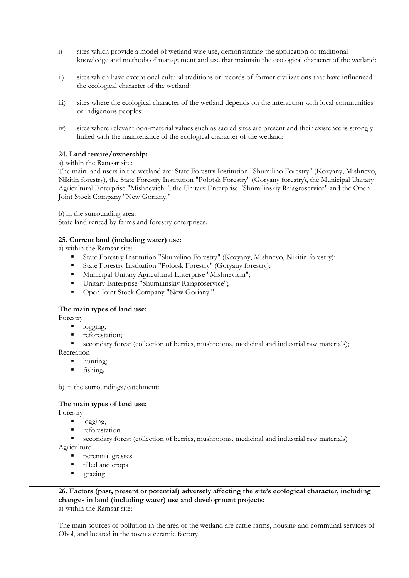- i) sites which provide a model of wetland wise use, demonstrating the application of traditional knowledge and methods of management and use that maintain the ecological character of the wetland:
- ii) sites which have exceptional cultural traditions or records of former civilizations that have influenced the ecological character of the wetland:
- iii) sites where the ecological character of the wetland depends on the interaction with local communities or indigenous peoples:
- iv) sites where relevant non-material values such as sacred sites are present and their existence is strongly linked with the maintenance of the ecological character of the wetland:

## **24. Land tenure/ownership:**

a) within the Ramsar site:

The main land users in the wetland are: State Forestry Institution "Shumilino Forestry" (Kozyany, Mishnevo, Nikitin forestry), the State Forestry Institution "Polotsk Forestry" (Goryany forestry), the Municipal Unitary Agricultural Enterprise "Mishnevichi", the Unitary Enterprise "Shumilinskiy Raiagroservice" and the Open Joint Stock Company "New Goriany."

b) in the surrounding area:

State land rented by farms and forestry enterprises.

#### **25. Current land (including water) use:**

a) within the Ramsar site:

- State Forestry Institution "Shumilino Forestry" (Kozyany, Mishnevo, Nikitin forestry);
- State Forestry Institution "Polotsk Forestry" (Goryany forestry);
- **Municipal Unitary Agricultural Enterprise "Mishnevichi";**
- Unitary Enterprise "Shumilinskiy Raiagroservice";
- Open Joint Stock Company "New Goriany."

#### **The main types of land use:**

Forestry

- logging;
- reforestation;
- secondary forest (collection of berries, mushrooms, medicinal and industrial raw materials);

Recreation

- hunting;
- fishing.

b) in the surroundings/catchment:

#### **The main types of land use:**

Forestry

- logging,
- reforestation
- secondary forest (collection of berries, mushrooms, medicinal and industrial raw materials) Agriculture
	- perennial grasses
	- tilled and crops
	- grazing

**26. Factors (past, present or potential) adversely affecting the site's ecological character, including changes in land (including water) use and development projects:**  a) within the Ramsar site:

The main sources of pollution in the area of the wetland are cattle farms, housing and communal services of Obol, and located in the town a ceramic factory.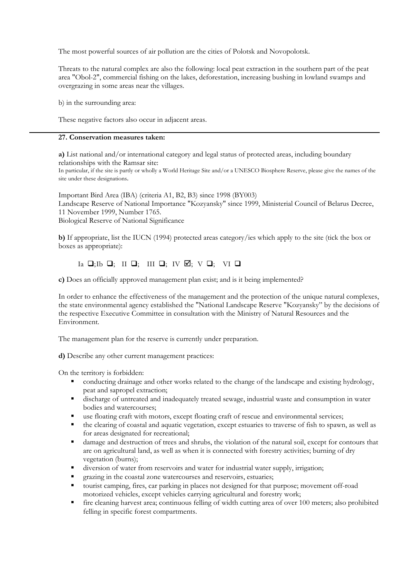The most powerful sources of air pollution are the cities of Polotsk and Novopolotsk.

Threats to the natural complex are also the following: local peat extraction in the southern part of the peat area "Obol-2", commercial fishing on the lakes, deforestation, increasing bushing in lowland swamps and overgrazing in some areas near the villages.

b) in the surrounding area:

These negative factors also occur in adjacent areas.

## **27. Conservation measures taken:**

**a)** List national and/or international category and legal status of protected areas, including boundary relationships with the Ramsar site:

In particular, if the site is partly or wholly a World Heritage Site and/or a UNESCO Biosphere Reserve, please give the names of the site under these designations.

Important Bird Area (IBA) (criteria A1, B2, B3) since 1998 (BY003) Landscape Reserve of National Importance "Kozyansky" since 1999, Ministerial Council of Belarus Decree, 11 November 1999, Number 1765. Biological Reserve of National Significance

**b)** If appropriate, list the IUCN (1994) protected areas category/ies which apply to the site (tick the box or boxes as appropriate):

## Ia  $\Box$ ; Ib  $\Box$ ; III  $\Box$ ; IV  $\Box$ ; V  $\Box$ ; VI  $\Box$

**c)** Does an officially approved management plan exist; and is it being implemented?

In order to enhance the effectiveness of the management and the protection of the unique natural complexes, the state environmental agency established the "National Landscape Reserve "Kozyansky" by the decisions of the respective Executive Committee in consultation with the Ministry of Natural Resources and the Environment.

The management plan for the reserve is currently under preparation.

**d)** Describe any other current management practices:

On the territory is forbidden:

- conducting drainage and other works related to the change of the landscape and existing hydrology, peat and sapropel extraction;
- discharge of untreated and inadequately treated sewage, industrial waste and consumption in water bodies and watercourses;
- use floating craft with motors, except floating craft of rescue and environmental services;
- the clearing of coastal and aquatic vegetation, except estuaries to traverse of fish to spawn, as well as for areas designated for recreational;
- damage and destruction of trees and shrubs, the violation of the natural soil, except for contours that are on agricultural land, as well as when it is connected with forestry activities; burning of dry vegetation (burns);
- diversion of water from reservoirs and water for industrial water supply, irrigation;
- grazing in the coastal zone watercourses and reservoirs, estuaries;
- tourist camping, fires, car parking in places not designed for that purpose; movement off-road motorized vehicles, except vehicles carrying agricultural and forestry work;
- fire cleaning harvest area; continuous felling of width cutting area of over 100 meters; also prohibited felling in specific forest compartments.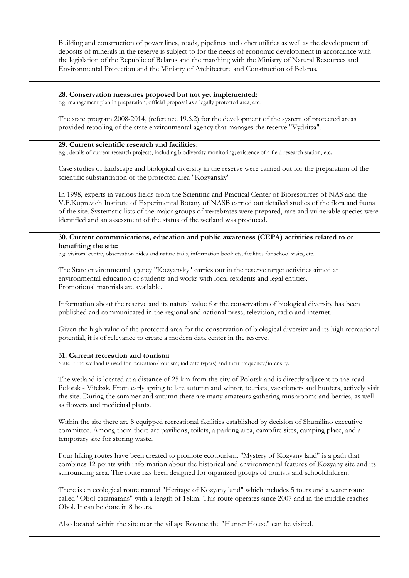Building and construction of power lines, roads, pipelines and other utilities as well as the development of deposits of minerals in the reserve is subject to for the needs of economic development in accordance with the legislation of the Republic of Belarus and the matching with the Ministry of Natural Resources and Environmental Protection and the Ministry of Architecture and Construction of Belarus.

#### **28. Conservation measures proposed but not yet implemented:**

e.g. management plan in preparation; official proposal as a legally protected area, etc.

The state program 2008-2014, (reference 19.6.2) for the development of the system of protected areas provided retooling of the state environmental agency that manages the reserve "Vydritsa".

#### **29. Current scientific research and facilities:**

e.g., details of current research projects, including biodiversity monitoring; existence of a field research station, etc.

Case studies of landscape and biological diversity in the reserve were carried out for the preparation of the scientific substantiation of the protected area "Kozyansky"

In 1998, experts in various fields from the Scientific and Practical Center of Bioresources of NAS and the V.F.Kuprevich Institute of Experimental Botany of NASB carried out detailed studies of the flora and fauna of the site. Systematic lists of the major groups of vertebrates were prepared, rare and vulnerable species were identified and an assessment of the status of the wetland was produced.

#### **30. Current communications, education and public awareness (CEPA) activities related to or benefiting the site:**

e.g. visitors' centre, observation hides and nature trails, information booklets, facilities for school visits, etc.

The State environmental agency "Kozyansky" carries out in the reserve target activities aimed at environmental education of students and works with local residents and legal entities. Promotional materials are available.

Information about the reserve and its natural value for the conservation of biological diversity has been published and communicated in the regional and national press, television, radio and internet.

Given the high value of the protected area for the conservation of biological diversity and its high recreational potential, it is of relevance to create a modern data center in the reserve.

#### **31. Current recreation and tourism:**

State if the wetland is used for recreation/tourism; indicate type(s) and their frequency/intensity.

The wetland is located at a distance of 25 km from the city of Polotsk and is directly adjacent to the road Polotsk - Vitebsk. From early spring to late autumn and winter, tourists, vacationers and hunters, actively visit the site. During the summer and autumn there are many amateurs gathering mushrooms and berries, as well as flowers and medicinal plants.

Within the site there are 8 equipped recreational facilities established by decision of Shumilino executive committee. Among them there are pavilions, toilets, a parking area, campfire sites, camping place, and a temporary site for storing waste.

Four hiking routes have been created to promote ecotourism. "Mystery of Kozyany land" is a path that combines 12 points with information about the historical and environmental features of Kozyany site and its surrounding area. The route has been designed for organized groups of tourists and schoolchildren.

There is an ecological route named "Heritage of Kozyany land" which includes 5 tours and a water route called "Obol catamarans" with a length of 18km. This route operates since 2007 and in the middle reaches Obol. It can be done in 8 hours.

Also located within the site near the village Rovnoe the "Hunter House" can be visited.